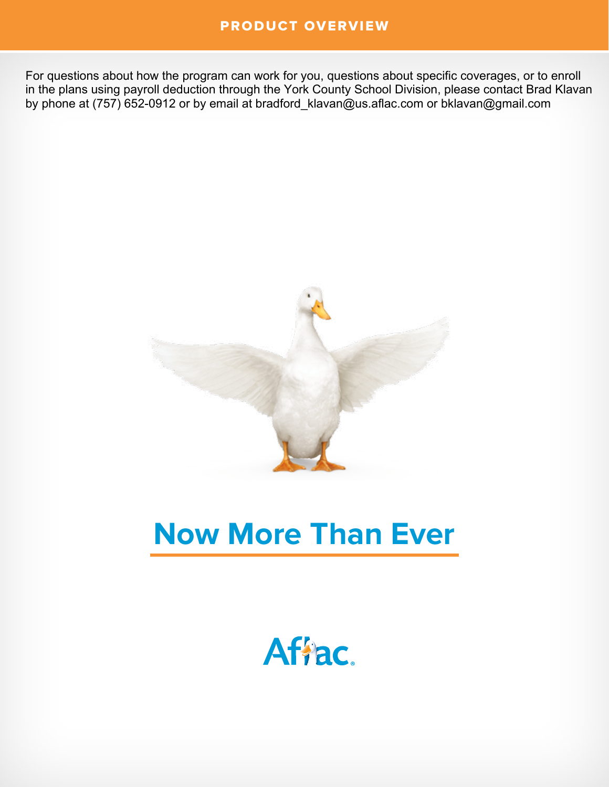### PRODUCT OVERVIEW

For questions about how the program can work for you, questions about specific coverages, or to enroll in the plans using payroll deduction through the York County School Division, please contact Brad Klavan by phone at (757) 652-0912 or by email at bradford\_klavan@us.aflac.com or bklavan@gmail.com



# **Now More Than Ever**

Afiac.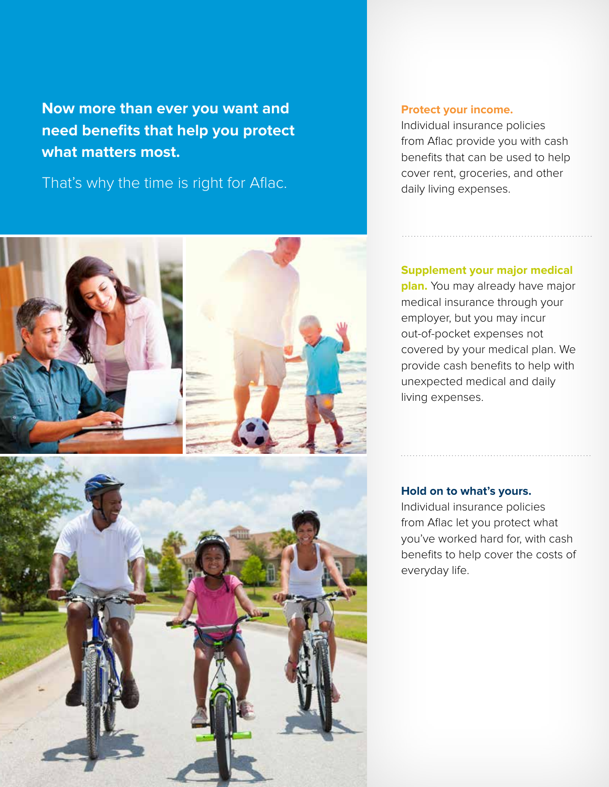**Now more than ever you want and need benefits that help you protect what matters most.** 

That's why the time is right for Aflac.





#### **Protect your income.**

Individual insurance policies from Aflac provide you with cash benefits that can be used to help cover rent, groceries, and other daily living expenses.

#### **Supplement your major medical**

**plan.** You may already have major medical insurance through your employer, but you may incur out-of-pocket expenses not covered by your medical plan. We provide cash benefits to help with unexpected medical and daily living expenses.

#### **Hold on to what's yours.**

Individual insurance policies from Aflac let you protect what you've worked hard for, with cash benefits to help cover the costs of everyday life.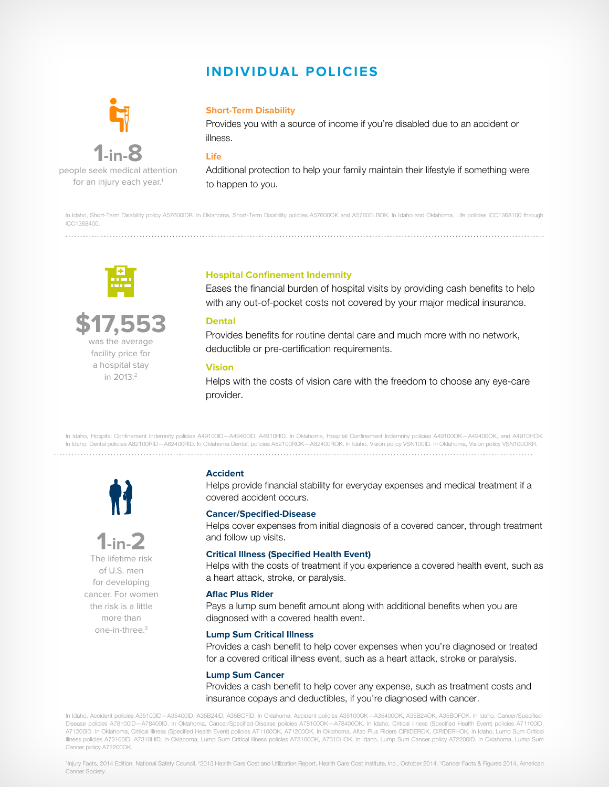## **INDIVIDUAL POLICIES**



**1-in-8** people seek medical attention for an injury each year.<sup>1</sup>

#### **Short-Term Disability**

Provides you with a source of income if you're disabled due to an accident or illness.

#### **Life**

Additional protection to help your family maintain their lifestyle if something were to happen to you.

In Idaho, Short-Term Disability policy A57600IDR. In Oklahoma, Short-Term Disability policies A57600OK and A57600LBOK. In Idaho and Oklahoma, Life policies ICC1368100 through ICC1368400.



## **\$17,553**

was the average facility price for a hospital stay in 2013.<sup>2</sup>

#### **Hospital Confinement Indemnity**

Eases the financial burden of hospital visits by providing cash benefits to help with any out-of-pocket costs not covered by your major medical insurance.

#### **Dental**

Provides benefits for routine dental care and much more with no network, deductible or pre-certification requirements.

#### **Vision**

Helps with the costs of vision care with the freedom to choose any eye-care provider.

In Idaho, Hospital Confinement Indemnity policies A49100ID—A49400ID, A4910HID. In Oklahoma, Hospital Confinement Indemnity policies A49100OK—A49400OK, and A4910HOK. In Idaho, Dental policies A82100RID—A82400RID. In Oklahoma Dental, policies A82100ROK—A82400ROK. In Idaho, Vision policy VSN100ID. In Oklahoma, Vision policy VSN100OKR. 





of U.S. men for developing cancer. For women the risk is a little more than one-in-three.3

#### **Accident**

Helps provide financial stability for everyday expenses and medical treatment if a covered accident occurs.

#### **Cancer/Specified-Disease**

Helps cover expenses from initial diagnosis of a covered cancer, through treatment and follow up visits.

#### **Critical Illness (Specified Health Event)**

Helps with the costs of treatment if you experience a covered health event, such as a heart attack, stroke, or paralysis.

#### **Aflac Plus Rider**

Pays a lump sum benefit amount along with additional benefits when you are diagnosed with a covered health event.

#### **Lump Sum Critical Illness**

Provides a cash benefit to help cover expenses when you're diagnosed or treated for a covered critical illness event, such as a heart attack, stroke or paralysis.

#### **Lump Sum Cancer**

Provides a cash benefit to help cover any expense, such as treatment costs and insurance copays and deductibles, if you're diagnosed with cancer.

In Idaho, Accident policies A35100ID—A35400ID, A35B24ID, A35BOFID. In Oklahoma, Accident policies A35100OK—A35400OK, A35B24OK, A35BOFOK. In Idaho, Cancer/Specified-Disease policies A78100ID—A78400ID. In Oklahoma, Cancer/Specified-Disease policies A78100OK—A78400OK. In Idaho, Critical Illness (Specified Health Event) policies A71100ID, A71200ID. In Oklahoma, Critical Illness (Specified Health Event) policies A71100OK, A71200OK. In Oklahoma, Aflac Plus Riders CIRIDEROK, CIRIDERHOK. In Idaho, Lump Sum Critical Illness policies A73100ID, A7310HID. In Oklahoma, Lump Sum Critical Illness policies A73100OK, A7310HOK. In Idaho, Lump Sum Cancer policy A72200ID. In Oklahoma, Lump Sum Cancer policy A72200OK.

'Injury Facts, 2014 Edition, National Safety Council. <sup>2</sup>2013 Health Care Cost and Utilization Report, Health Care Cost Institute, Inc., October 2014. <sup>3</sup>Cancer Facts & Figures 2014, American Cancer Society.